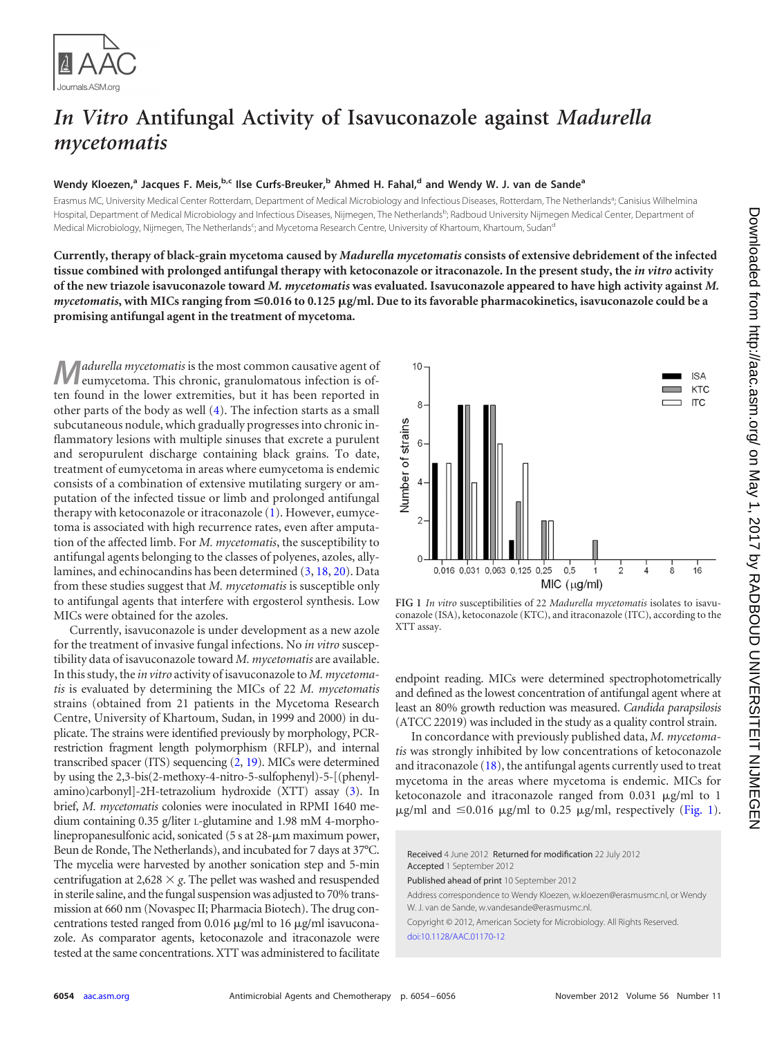

## *In Vitro* **Antifungal Activity of Isavuconazole against** *Madurella mycetomatis*

## **Wendy Kloezen, <sup>a</sup> Jacques F. Meis, b,c Ilse Curfs-Breuker, <sup>b</sup> Ahmed H. Fahal, <sup>d</sup> and Wendy W. J. van de Sandea**

Erasmus MC, University Medical Center Rotterdam, Department of Medical Microbiology and Infectious Diseases, Rotterdam, The Netherlands<sup>a</sup>; Canisius Wilhelmina Hospital, Department of Medical Microbiology and Infectious Diseases, Nijmegen, The Netherlands<sup>b</sup>; Radboud University Nijmegen Medical Center, Department of Medical Microbiology, Nijmegen, The Netherlands<sup>c</sup>; and Mycetoma Research Centre, University of Khartoum, Khartoum, Sudan<sup>d</sup>

**Currently, therapy of black-grain mycetoma caused by** *Madurella mycetomatis* **consists of extensive debridement of the infected tissue combined with prolonged antifungal therapy with ketoconazole or itraconazole. In the present study, the** *in vitro* **activity of the new triazole isavuconazole toward** *M. mycetomatis* **was evaluated. Isavuconazole appeared to have high activity against** *M. mycetomatis***, with MICs ranging from** <**0.016 to 0.125 g/ml. Due to its favorable pharmacokinetics, isavuconazole could be a promising antifungal agent in the treatment of mycetoma.**

**M***adurella mycetomatis* is the most common causative agent of eumycetoma. This chronic, granulomatous infection is often found in the lower extremities, but it has been reported in other parts of the body as well [\(4\)](#page-1-0). The infection starts as a small subcutaneous nodule, which gradually progresses into chronic inflammatory lesions with multiple sinuses that excrete a purulent and seropurulent discharge containing black grains. To date, treatment of eumycetoma in areas where eumycetoma is endemic consists of a combination of extensive mutilating surgery or amputation of the infected tissue or limb and prolonged antifungal therapy with ketoconazole or itraconazole [\(1\)](#page-1-1). However, eumycetoma is associated with high recurrence rates, even after amputation of the affected limb. For *M. mycetomatis*, the susceptibility to antifungal agents belonging to the classes of polyenes, azoles, ally-lamines, and echinocandins has been determined [\(3,](#page-1-2) [18,](#page-2-0) [20\)](#page-2-1). Data from these studies suggest that *M. mycetomatis* is susceptible only to antifungal agents that interfere with ergosterol synthesis. Low MICs were obtained for the azoles.

Currently, isavuconazole is under development as a new azole for the treatment of invasive fungal infections. No *in vitro* susceptibility data of isavuconazole toward *M. mycetomatis* are available. In this study, the *in vitro* activity of isavuconazole to *M. mycetomatis* is evaluated by determining the MICs of 22 *M. mycetomatis* strains (obtained from 21 patients in the Mycetoma Research Centre, University of Khartoum, Sudan, in 1999 and 2000) in duplicate. The strains were identified previously by morphology, PCRrestriction fragment length polymorphism (RFLP), and internal transcribed spacer (ITS) sequencing [\(2,](#page-1-3) [19\)](#page-2-2). MICs were determined by using the 2,3-bis(2-methoxy-4-nitro-5-sulfophenyl)-5-[(phenylamino)carbonyl]-2H-tetrazolium hydroxide (XTT) assay [\(3\)](#page-1-2). In brief, *M. mycetomatis* colonies were inoculated in RPMI 1640 medium containing 0.35 g/liter L-glutamine and 1.98 mM 4-morpholinepropanesulfonic acid, sonicated  $(5 \text{ s at } 28 - \mu \text{m} \text{ maximum power},$ Beun de Ronde, The Netherlands), and incubated for 7 days at 37°C. The mycelia were harvested by another sonication step and 5-min centrifugation at 2,628  $\times$  g. The pellet was washed and resuspended in sterile saline, and the fungal suspension was adjusted to 70% transmission at 660 nm (Novaspec II; Pharmacia Biotech). The drug concentrations tested ranged from 0.016  $\mu$ g/ml to 16  $\mu$ g/ml isavuconazole. As comparator agents, ketoconazole and itraconazole were tested at the same concentrations. XTT was administered to facilitate



<span id="page-0-0"></span>**FIG 1** *In vitro* susceptibilities of 22 *Madurella mycetomatis* isolates to isavuconazole (ISA), ketoconazole (KTC), and itraconazole (ITC), according to the XTT assay.

endpoint reading. MICs were determined spectrophotometrically and defined as the lowest concentration of antifungal agent where at least an 80% growth reduction was measured. *Candida parapsilosis* (ATCC 22019) was included in the study as a quality control strain.

In concordance with previously published data, *M. mycetomatis* was strongly inhibited by low concentrations of ketoconazole and itraconazole  $(18)$ , the antifungal agents currently used to treat mycetoma in the areas where mycetoma is endemic. MICs for ketoconazole and itraconazole ranged from  $0.031 \mu g/ml$  to 1  $\mu$ g/ml and  $\leq 0.016$   $\mu$ g/ml to 0.25  $\mu$ g/ml, respectively [\(Fig. 1\)](#page-0-0).

Received 4 June 2012 Returned for modification 22 July 2012 Accepted 1 September 2012

Published ahead of print 10 September 2012

Address correspondence to Wendy Kloezen, w.kloezen@erasmusmc.nl, or Wendy W. J. van de Sande, w.vandesande@erasmusmc.nl.

Copyright © 2012, American Society for Microbiology. All Rights Reserved. [doi:10.1128/AAC.01170-12](http://dx.doi.org/10.1128/AAC.01170-12)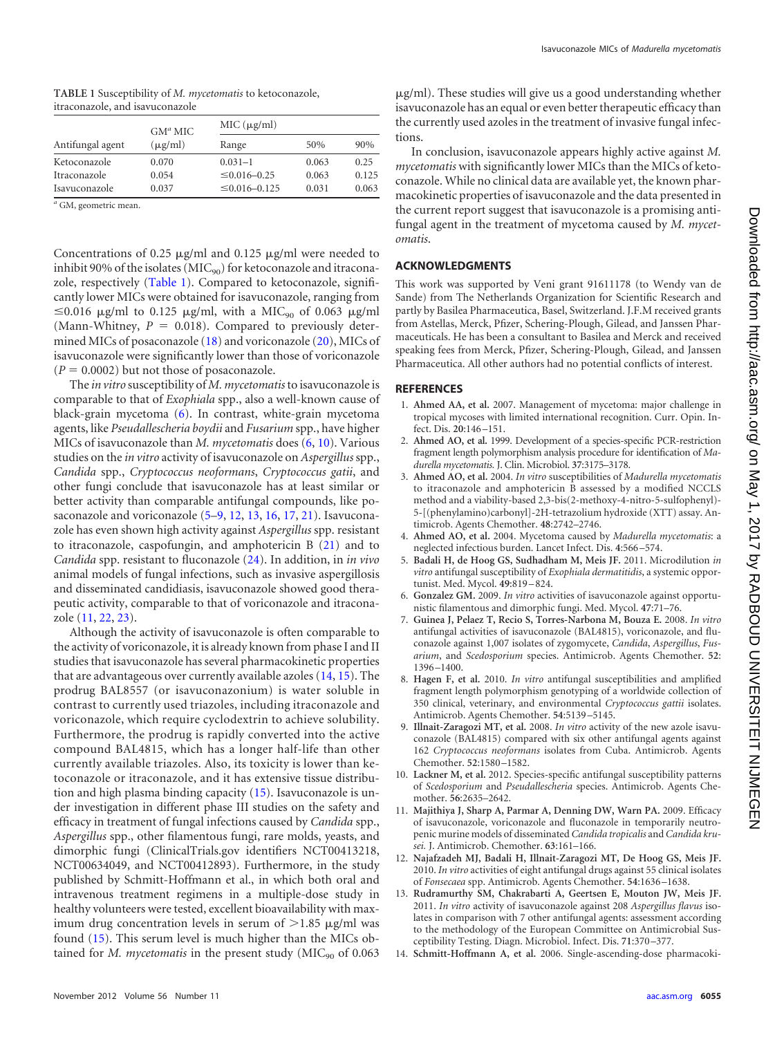<span id="page-1-4"></span>

| TABLE 1 Susceptibility of M. mycetomatis to ketoconazole, |  |
|-----------------------------------------------------------|--|
| itraconazole, and isavuconazole                           |  |

| Antifungal agent | $GMa$ MIC<br>$(\mu$ g/ml) | MIC (µg/ml)          |       |       |
|------------------|---------------------------|----------------------|-------|-------|
|                  |                           | Range                | 50%   | 90%   |
| Ketoconazole     | 0.070                     | $0.031 - 1$          | 0.063 | 0.25  |
| Itraconazole     | 0.054                     | $\leq 0.016 - 0.25$  | 0.063 | 0.125 |
| Isavuconazole    | 0.037                     | $\leq 0.016 - 0.125$ | 0.031 | 0.063 |

*<sup>a</sup>* GM, geometric mean.

Concentrations of 0.25  $\mu$ g/ml and 0.125  $\mu$ g/ml were needed to inhibit 90% of the isolates ( $\text{MIC}_{90}$ ) for ketoconazole and itracona-zole, respectively [\(Table 1\)](#page-1-4). Compared to ketoconazole, significantly lower MICs were obtained for isavuconazole, ranging from  $\leq$ 0.016  $\mu$ g/ml to 0.125  $\mu$ g/ml, with a MIC<sub>90</sub> of 0.063  $\mu$ g/ml (Mann-Whitney,  $P = 0.018$ ). Compared to previously determined MICs of posaconazole [\(18\)](#page-2-0) and voriconazole [\(20\)](#page-2-1), MICs of isavuconazole were significantly lower than those of voriconazole  $(P = 0.0002)$  but not those of posaconazole.

The *in vitro* susceptibility of *M. mycetomatis* to isavuconazole is comparable to that of *Exophiala* spp., also a well-known cause of black-grain mycetoma [\(6\)](#page-1-5). In contrast, white-grain mycetoma agents, like *Pseudallescheria boydii* and *Fusarium* spp., have higher MICs of isavuconazole than *M. mycetomatis* does [\(6,](#page-1-5) [10\)](#page-1-6). Various studies on the *in vitro* activity of isavuconazole on *Aspergillus*spp., *Candida* spp., *Cryptococcus neoformans*, *Cryptococcus gatii*, and other fungi conclude that isavuconazole has at least similar or better activity than comparable antifungal compounds, like posaconazole and voriconazole [\(5](#page-1-7)[–9,](#page-1-8) [12,](#page-1-9) [13,](#page-1-10) [16,](#page-2-3) [17,](#page-2-4) [21\)](#page-2-5). Isavuconazole has even shown high activity against *Aspergillus* spp. resistant to itraconazole, caspofungin, and amphotericin B [\(21\)](#page-2-5) and to *Candida* spp. resistant to fluconazole [\(24\)](#page-2-6). In addition, in *in vivo* animal models of fungal infections, such as invasive aspergillosis and disseminated candidiasis, isavuconazole showed good therapeutic activity, comparable to that of voriconazole and itraconazole [\(11,](#page-1-11) [22,](#page-2-7) [23\)](#page-2-8).

Although the activity of isavuconazole is often comparable to the activity of voriconazole, it is already known from phase I and II studies that isavuconazole has several pharmacokinetic properties that are advantageous over currently available azoles [\(14,](#page-1-12) [15\)](#page-2-9). The prodrug BAL8557 (or isavuconazonium) is water soluble in contrast to currently used triazoles, including itraconazole and voriconazole, which require cyclodextrin to achieve solubility. Furthermore, the prodrug is rapidly converted into the active compound BAL4815, which has a longer half-life than other currently available triazoles. Also, its toxicity is lower than ketoconazole or itraconazole, and it has extensive tissue distribution and high plasma binding capacity [\(15\)](#page-2-9). Isavuconazole is under investigation in different phase III studies on the safety and efficacy in treatment of fungal infections caused by *Candida* spp., *Aspergillus* spp., other filamentous fungi, rare molds, yeasts, and dimorphic fungi (ClinicalTrials.gov identifiers NCT00413218, NCT00634049, and NCT00412893). Furthermore, in the study published by Schmitt-Hoffmann et al., in which both oral and intravenous treatment regimens in a multiple-dose study in healthy volunteers were tested, excellent bioavailability with maximum drug concentration levels in serum of  $>1.85$   $\mu$ g/ml was found [\(15\)](#page-2-9). This serum level is much higher than the MICs obtained for *M. mycetomatis* in the present study ( $\text{MIC}_{90}$  of 0.063

g/ml). These studies will give us a good understanding whether isavuconazole has an equal or even better therapeutic efficacy than the currently used azoles in the treatment of invasive fungal infections.

In conclusion, isavuconazole appears highly active against *M. mycetomatis* with significantly lower MICs than the MICs of ketoconazole. While no clinical data are available yet, the known pharmacokinetic properties of isavuconazole and the data presented in the current report suggest that isavuconazole is a promising antifungal agent in the treatment of mycetoma caused by *M. mycetomatis*.

## **ACKNOWLEDGMENTS**

This work was supported by Veni grant 91611178 (to Wendy van de Sande) from The Netherlands Organization for Scientific Research and partly by Basilea Pharmaceutica, Basel, Switzerland. J.F.M received grants from Astellas, Merck, Pfizer, Schering-Plough, Gilead, and Janssen Pharmaceuticals. He has been a consultant to Basilea and Merck and received speaking fees from Merck, Pfizer, Schering-Plough, Gilead, and Janssen Pharmaceutica. All other authors had no potential conflicts of interest.

## <span id="page-1-1"></span>**REFERENCES**

- 1. **Ahmed AA, et al.** 2007. Management of mycetoma: major challenge in tropical mycoses with limited international recognition. Curr. Opin. Infect. Dis. **20**:146 –151.
- <span id="page-1-3"></span>2. **Ahmed AO, et al.** 1999. Development of a species-specific PCR-restriction fragment length polymorphism analysis procedure for identification of *Madurella mycetomatis.* J. Clin. Microbiol. **37**:3175–3178.
- <span id="page-1-2"></span>3. **Ahmed AO, et al.** 2004. *In vitro* susceptibilities of *Madurella mycetomatis* to itraconazole and amphotericin B assessed by a modified NCCLS method and a viability-based 2,3-bis(2-methoxy-4-nitro-5-sulfophenyl)- 5-[(phenylamino)carbonyl]-2H-tetrazolium hydroxide (XTT) assay. Antimicrob. Agents Chemother. **48**:2742–2746.
- <span id="page-1-0"></span>4. **Ahmed AO, et al.** 2004. Mycetoma caused by *Madurella mycetomatis*: a neglected infectious burden. Lancet Infect. Dis. **4**:566 –574.
- <span id="page-1-7"></span>5. **Badali H, de Hoog GS, Sudhadham M, Meis JF.** 2011. Microdilution *in vitro* antifungal susceptibility of *Exophiala dermatitidis*, a systemic opportunist. Med. Mycol. **49**:819 –824.
- <span id="page-1-5"></span>6. **Gonzalez GM.** 2009. *In vitro* activities of isavuconazole against opportunistic filamentous and dimorphic fungi. Med. Mycol. **47**:71–76.
- 7. **Guinea J, Pelaez T, Recio S, Torres-Narbona M, Bouza E.** 2008. *In vitro* antifungal activities of isavuconazole (BAL4815), voriconazole, and fluconazole against 1,007 isolates of zygomycete, *Candida*, *Aspergillus*, *Fusarium*, and *Scedosporium* species. Antimicrob. Agents Chemother. **52**: 1396 –1400.
- 8. **Hagen F, et al.** 2010. *In vitro* antifungal susceptibilities and amplified fragment length polymorphism genotyping of a worldwide collection of 350 clinical, veterinary, and environmental *Cryptococcus gattii* isolates. Antimicrob. Agents Chemother. **54**:5139 –5145.
- <span id="page-1-8"></span>9. **Illnait-Zaragozi MT, et al.** 2008. *In vitro* activity of the new azole isavuconazole (BAL4815) compared with six other antifungal agents against 162 *Cryptococcus neoformans* isolates from Cuba. Antimicrob. Agents Chemother. **52**:1580 –1582.
- <span id="page-1-6"></span>10. **Lackner M, et al.** 2012. Species-specific antifungal susceptibility patterns of *Scedosporium* and *Pseudallescheria* species. Antimicrob. Agents Chemother. **56**:2635–2642.
- <span id="page-1-11"></span>11. **Majithiya J, Sharp A, Parmar A, Denning DW, Warn PA.** 2009. Efficacy of isavuconazole, voriconazole and fluconazole in temporarily neutropenic murine models of disseminated *Candida tropicalis* and *Candida krusei.* J. Antimicrob. Chemother. **63**:161–166.
- <span id="page-1-9"></span>12. **Najafzadeh MJ, Badali H, Illnait-Zaragozi MT, De Hoog GS, Meis JF.** 2010. *In vitro* activities of eight antifungal drugs against 55 clinical isolates of *Fonsecaea* spp. Antimicrob. Agents Chemother. **54**:1636 –1638.
- <span id="page-1-10"></span>13. **Rudramurthy SM, Chakrabarti A, Geertsen E, Mouton JW, Meis JF.** 2011. *In vitro* activity of isavuconazole against 208 *Aspergillus flavus* isolates in comparison with 7 other antifungal agents: assessment according to the methodology of the European Committee on Antimicrobial Susceptibility Testing. Diagn. Microbiol. Infect. Dis. **71**:370 –377.
- <span id="page-1-12"></span>14. **Schmitt-Hoffmann A, et al.** 2006. Single-ascending-dose pharmacoki-